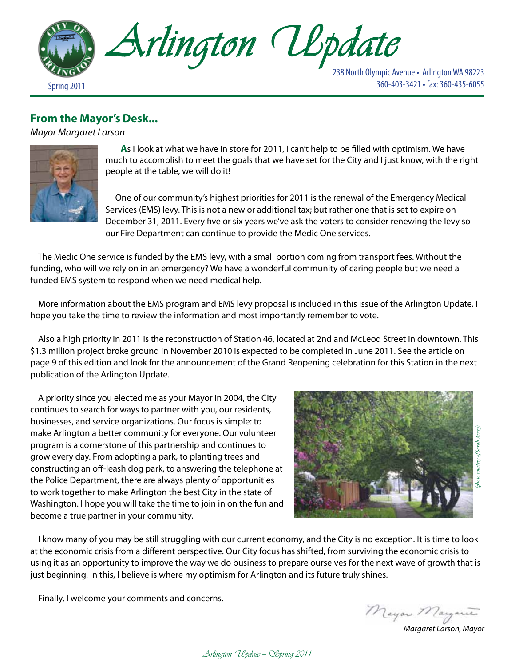

# 238 North Olympic Avenue • Arlington WA 98223

## **From the Mayor's Desk...**

*Mayor Margaret Larson*



 **A**s I look at what we have in store for 2011, I can't help to be filled with optimism. We have much to accomplish to meet the goals that we have set for the City and I just know, with the right people at the table, we will do it!

 One of our community's highest priorities for 2011 is the renewal of the Emergency Medical Services (EMS) levy. This is not a new or additional tax; but rather one that is set to expire on December 31, 2011. Every five or six years we've ask the voters to consider renewing the levy so our Fire Department can continue to provide the Medic One services.

 The Medic One service is funded by the EMS levy, with a small portion coming from transport fees. Without the funding, who will we rely on in an emergency? We have a wonderful community of caring people but we need a funded EMS system to respond when we need medical help.

 More information about the EMS program and EMS levy proposal is included in this issue of the Arlington Update. I hope you take the time to review the information and most importantly remember to vote.

 Also a high priority in 2011 is the reconstruction of Station 46, located at 2nd and McLeod Street in downtown. This \$1.3 million project broke ground in November 2010 is expected to be completed in June 2011. See the article on page 9 of this edition and look for the announcement of the Grand Reopening celebration for this Station in the next publication of the Arlington Update.

 A priority since you elected me as your Mayor in 2004, the City continues to search for ways to partner with you, our residents, businesses, and service organizations. Our focus is simple: to make Arlington a better community for everyone. Our volunteer program is a cornerstone of this partnership and continues to grow every day. From adopting a park, to planting trees and constructing an off-leash dog park, to answering the telephone at the Police Department, there are always plenty of opportunities to work together to make Arlington the best City in the state of Washington. I hope you will take the time to join in on the fun and become a true partner in your community.



 I know many of you may be still struggling with our current economy, and the City is no exception. It is time to look at the economic crisis from a different perspective. Our City focus has shifted, from surviving the economic crisis to using it as an opportunity to improve the way we do business to prepare ourselves for the next wave of growth that is just beginning. In this, I believe is where my optimism for Arlington and its future truly shines.

Finally, I welcome your comments and concerns.

*Margaret Larson, Mayor*

Arlington Update — Spring 2011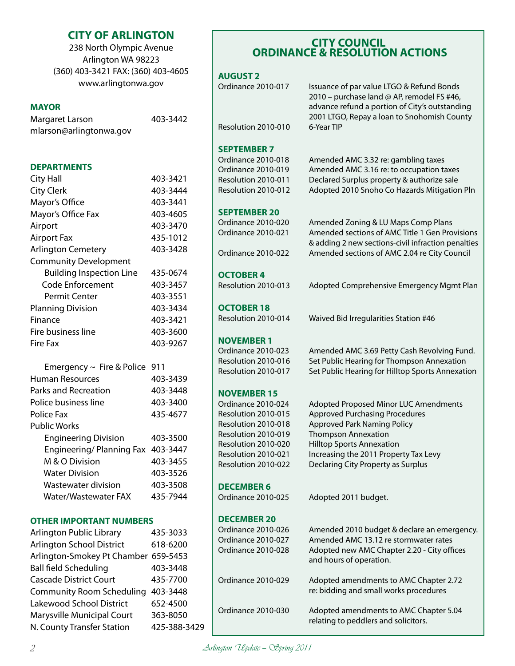### **CITY OF ARLINGTON**

238 North Olympic Avenue Arlington WA 98223 (360) 403-3421 FAX: (360) 403-4605 www.arlingtonwa.gov

### **MAYOR**

| Margaret Larson         | 403-3442 |
|-------------------------|----------|
| mlarson@arlingtonwa.gov |          |

### **DEPARTMENTS**

| <b>City Hall</b>                | 403-3421 |
|---------------------------------|----------|
| <b>City Clerk</b>               | 403-3444 |
| Mayor's Office                  | 403-3441 |
| Mayor's Office Fax              | 403-4605 |
| Airport                         | 403-3470 |
| <b>Airport Fax</b>              | 435-1012 |
| <b>Arlington Cemetery</b>       | 403-3428 |
| <b>Community Development</b>    |          |
| <b>Building Inspection Line</b> | 435-0674 |
| Code Enforcement                | 403-3457 |
| Permit Center                   | 403-3551 |
| <b>Planning Division</b>        | 403-3434 |
| Finance                         | 403-3421 |
| Fire business line              | 403-3600 |
| Fire Fax                        | 403-9267 |
|                                 |          |

| Emergency $\sim$ Fire & Police 911 |          |
|------------------------------------|----------|
| Human Resources                    | 403-3439 |
| Parks and Recreation               | 403-3448 |
| Police business line               | 403-3400 |
| Police Fax                         | 435-4677 |
| <b>Public Works</b>                |          |
| <b>Engineering Division</b>        | 403-3500 |
| Engineering/Planning Fax           | 403-3447 |
| M & O Division                     | 403-3455 |
| <b>Water Division</b>              | 403-3526 |
| Wastewater division                | 403-3508 |
| Water/Wastewater FAX               | 435-7944 |
|                                    |          |

### **OTHER IMPORTANT NUMBERS**

| Arlington Public Library             | 435-3033     |
|--------------------------------------|--------------|
| <b>Arlington School District</b>     | 618-6200     |
| Arlington-Smokey Pt Chamber 659-5453 |              |
| <b>Ball field Scheduling</b>         | 403-3448     |
| <b>Cascade District Court</b>        | 435-7700     |
| <b>Community Room Scheduling</b>     | 403-3448     |
| Lakewood School District             | 652-4500     |
| Marysville Municipal Court           | 363-8050     |
| N. County Transfer Station           | 425-388-3429 |
|                                      |              |

#### $\overline{a}$ **SHEMANCE & RESOLUTION ACTIONS CITY COUNCIL ORDINANCE & RESOLUTION ACTIONS**

### **AUGUST 2**

| Issuance of par value LTGO & Refund Bonds<br>2010 - purchase land @ AP, remodel FS #46,<br>advance refund a portion of City's outstanding<br>2001 LTGO, Repay a loan to Snohomish County |
|------------------------------------------------------------------------------------------------------------------------------------------------------------------------------------------|
| 6-Year TIP                                                                                                                                                                               |
|                                                                                                                                                                                          |
| Amended AMC 3.32 re: gambling taxes                                                                                                                                                      |
| Amended AMC 3.16 re: to occupation taxes                                                                                                                                                 |
| Declared Surplus property & authorize sale                                                                                                                                               |
| Adopted 2010 Snoho Co Hazards Mitigation Pln                                                                                                                                             |
|                                                                                                                                                                                          |
| Amended Zoning & LU Maps Comp Plans                                                                                                                                                      |
| Amended sections of AMC Title 1 Gen Provisions<br>& adding 2 new sections-civil infraction penalties                                                                                     |
| Amended sections of AMC 2.04 re City Council                                                                                                                                             |
|                                                                                                                                                                                          |

**OCTOBER 4** Resolution 2010-013 Adopted Comprehensive Emergency Mgmt Plan

**OCTOBER 18**

Resolution 2010-014 Waived Bid Irregularities Station #46

### **NOVEMBER 1**

Ordinance 2010-023 Amended AMC 3.69 Petty Cash Revolving Fund. Resolution 2010-016 Set Public Hearing for Thompson Annexation Resolution 2010-017 Set Public Hearing for Hilltop Sports Annexation

### **NOVEMBER 15**

Ordinance 2010-024 Adopted Proposed Minor LUC Amendments Resolution 2010-015 Approved Purchasing Procedures Resolution 2010-018 Approved Park Naming Policy Resolution 2010-019 Thompson Annexation Resolution 2010-020 Hilltop Sports Annexation Resolution 2010-021 Increasing the 2011 Property Tax Levy Resolution 2010-022 Declaring City Property as Surplus

**DECEMBER 6** 

**DECEMBER 20** 

Ordinance 2010-025 Adopted 2011 budget.

Ordinance 2010-026 Amended 2010 budget & declare an emergency. Ordinance 2010-027 Amended AMC 13.12 re stormwater rates Ordinance 2010-028 Adopted new AMC Chapter 2.20 - City offices and hours of operation.

Ordinance 2010-029 Adopted amendments to AMC Chapter 2.72 re: bidding and small works procedures

Ordinance 2010-030 Adopted amendments to AMC Chapter 5.04 relating to peddlers and solicitors.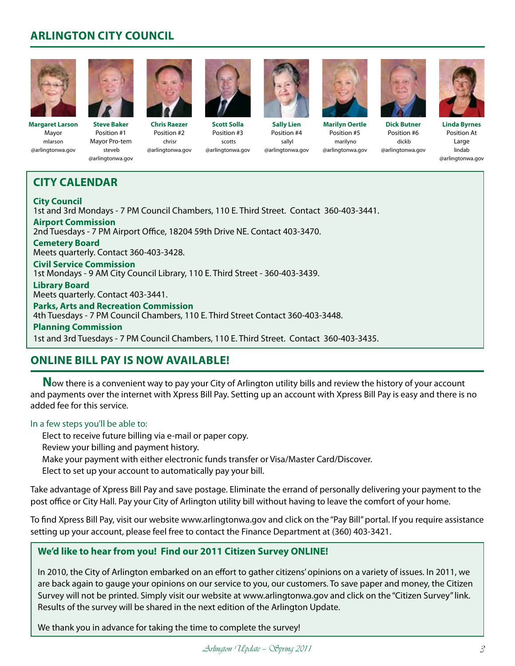# **ARLINGTON CITY COUNCIL**



**Margaret Larson** Mayor mlarson @arlingtonwa.gov



**Steve Baker** Position #1 Mayor Pro-tem steveb @arlingtonwa.gov



chrisr

**Chris Raezer** Position #2 @arlingtonwa.gov **Scott Solla** Position #3 scotts @arlingtonwa.gov



**Sally Lien** Position #4 sallyl @arlingtonwa.gov





**Marilyn Oertle** Position #5 marilyno @arlingtonwa.gov



Position #6 dickb @arlingtonwa.gov



**Linda Byrnes** Position At Large lindab @arlingtonwa.gov

# **CITY CALENDAR**

**City Council** 1st and 3rd Mondays - 7 PM Council Chambers, 110 E. Third Street. Contact 360-403-3441. **Airport Commission** 2nd Tuesdays - 7 PM Airport Office, 18204 59th Drive NE. Contact 403-3470. **Cemetery Board** Meets quarterly. Contact 360-403-3428. **Civil Service Commission** 1st Mondays - 9 AM City Council Library, 110 E. Third Street - 360-403-3439. **Library Board** Meets quarterly. Contact 403-3441. **Parks, Arts and Recreation Commission** 4th Tuesdays - 7 PM Council Chambers, 110 E. Third Street Contact 360-403-3448. **Planning Commission** 1st and 3rd Tuesdays - 7 PM Council Chambers, 110 E. Third Street. Contact 360-403-3435.

# **Online Bill Pay is now available!**

**N**ow there is a convenient way to pay your City of Arlington utility bills and review the history of your account and payments over the internet with Xpress Bill Pay. Setting up an account with Xpress Bill Pay is easy and there is no added fee for this service.

### In a few steps you'll be able to:

Elect to receive future billing via e-mail or paper copy.

Review your billing and payment history.

Make your payment with either electronic funds transfer or Visa/Master Card/Discover.

Elect to set up your account to automatically pay your bill.

Take advantage of Xpress Bill Pay and save postage. Eliminate the errand of personally delivering your payment to the post office or City Hall. Pay your City of Arlington utility bill without having to leave the comfort of your home.

To find Xpress Bill Pay, visit our website www.arlingtonwa.gov and click on the "Pay Bill" portal. If you require assistance setting up your account, please feel free to contact the Finance Department at (360) 403-3421.

### **We'd like to hear from you! Find our 2011 Citizen Survey ONLINE!**

In 2010, the City of Arlington embarked on an effort to gather citizens' opinions on a variety of issues. In 2011, we are back again to gauge your opinions on our service to you, our customers. To save paper and money, the Citizen Survey will not be printed. Simply visit our website at www.arlingtonwa.gov and click on the "Citizen Survey" link. Results of the survey will be shared in the next edition of the Arlington Update.

We thank you in advance for taking the time to complete the survey!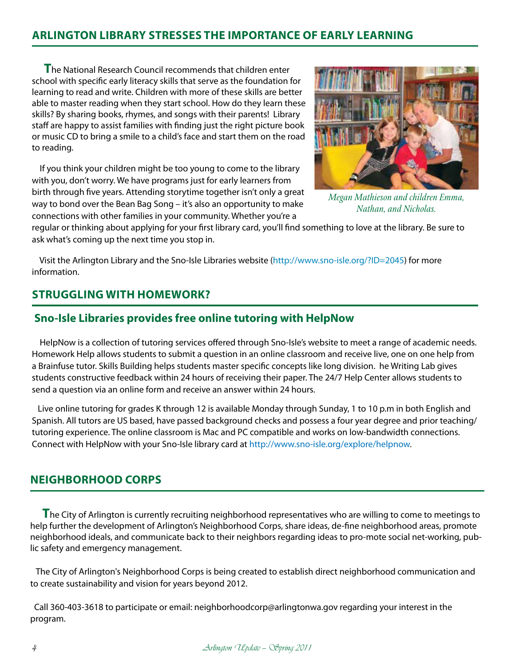### **ARLINGTON LIBRARY STRESSES THE IMPORTANCE OF EARLY LEARNING**

**T**he National Research Council recommends that children enter school with specific early literacy skills that serve as the foundation for learning to read and write. Children with more of these skills are better able to master reading when they start school. How do they learn these skills? By sharing books, rhymes, and songs with their parents! Library staff are happy to assist families with finding just the right picture book or music CD to bring a smile to a child's face and start them on the road to reading.

 If you think your children might be too young to come to the library with you, don't worry. We have programs just for early learners from birth through five years. Attending storytime together isn't only a great way to bond over the Bean Bag Song – it's also an opportunity to make connections with other families in your community. Whether you're a



*Megan Mathieson and children Emma, Nathan, and Nicholas.*

regular or thinking about applying for your first library card, you'll find something to love at the library. Be sure to ask what's coming up the next time you stop in.

 Visit the Arlington Library and the Sno-Isle Libraries website (http://www.sno-isle.org/?ID=2045) for more information.

## **Struggling With Homework?**

### **Sno-Isle Libraries provides free online tutoring with HelpNow**

 HelpNow is a collection of tutoring services offered through Sno-Isle's website to meet a range of academic needs. Homework Help allows students to submit a question in an online classroom and receive live, one on one help from a Brainfuse tutor. Skills Building helps students master specific concepts like long division. he Writing Lab gives students constructive feedback within 24 hours of receiving their paper. The 24/7 Help Center allows students to send a question via an online form and receive an answer within 24 hours.

 Live online tutoring for grades K through 12 is available Monday through Sunday, 1 to 10 p.m in both English and Spanish. All tutors are US based, have passed background checks and possess a four year degree and prior teaching/ tutoring experience. The online classroom is Mac and PC compatible and works on low-bandwidth connections. Connect with HelpNow with your Sno-Isle library card at http://www.sno-isle.org/explore/helpnow.

### **NEIGHBORHOOD CORPS**

**T**he City of Arlington is currently recruiting neighborhood representatives who are willing to come to meetings to help further the development of Arlington's Neighborhood Corps, share ideas, de-fine neighborhood areas, promote neighborhood ideals, and communicate back to their neighbors regarding ideas to pro-mote social net-working, public safety and emergency management.

 The City of Arlington's Neighborhood Corps is being created to establish direct neighborhood communication and to create sustainability and vision for years beyond 2012.

 Call 360-403-3618 to participate or email: neighborhoodcorp@arlingtonwa.gov regarding your interest in the program.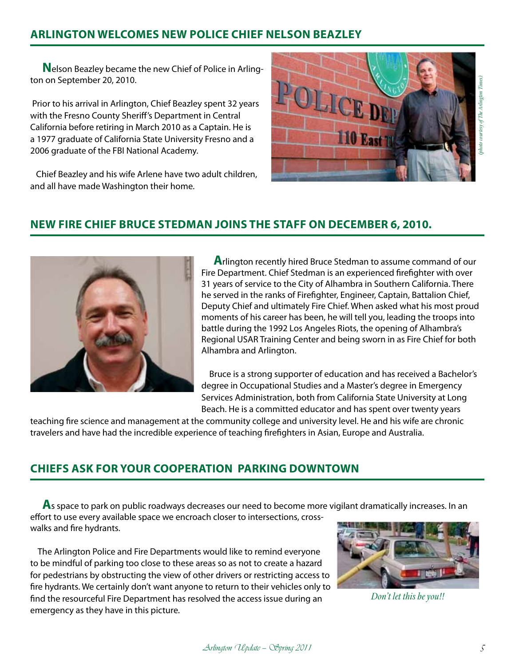## **ARLINGTON WELCOMES NEW POLICE CHIEF NELSON BEAZLEY**

**N**elson Beazley became the new Chief of Police in Arlington on September 20, 2010.

 Prior to his arrival in Arlington, Chief Beazley spent 32 years with the Fresno County Sheriff's Department in Central California before retiring in March 2010 as a Captain. He is a 1977 graduate of California State University Fresno and a 2006 graduate of the FBI National Academy.

 Chief Beazley and his wife Arlene have two adult children, and all have made Washington their home.



# photo courtesy of The Arlington Times) *(photo courtesy of The Arlington Times)*

# **NEW FIRE CHIEF BRUCE STEDMAN JOINS THE STAFF ON DECEMBER 6, 2010.**



**A**rlington recently hired Bruce Stedman to assume command of our Fire Department. Chief Stedman is an experienced firefighter with over 31 years of service to the City of Alhambra in Southern California. There he served in the ranks of Firefighter, Engineer, Captain, Battalion Chief, Deputy Chief and ultimately Fire Chief. When asked what his most proud moments of his career has been, he will tell you, leading the troops into battle during the 1992 Los Angeles Riots, the opening of Alhambra's Regional USAR Training Center and being sworn in as Fire Chief for both Alhambra and Arlington.

 Bruce is a strong supporter of education and has received a Bachelor's degree in Occupational Studies and a Master's degree in Emergency Services Administration, both from California State University at Long Beach. He is a committed educator and has spent over twenty years

teaching fire science and management at the community college and university level. He and his wife are chronic travelers and have had the incredible experience of teaching firefighters in Asian, Europe and Australia.

# **CHIEFS ASK FOR YOUR COOPERATION PARKING DOWNTOWN**

**A**s space to park on public roadways decreases our need to become more vigilant dramatically increases. In an effort to use every available space we encroach closer to intersections, crosswalks and fire hydrants.

 The Arlington Police and Fire Departments would like to remind everyone to be mindful of parking too close to these areas so as not to create a hazard for pedestrians by obstructing the view of other drivers or restricting access to fire hydrants. We certainly don't want anyone to return to their vehicles only to find the resourceful Fire Department has resolved the access issue during an emergency as they have in this picture.



*Don't let this be you!!*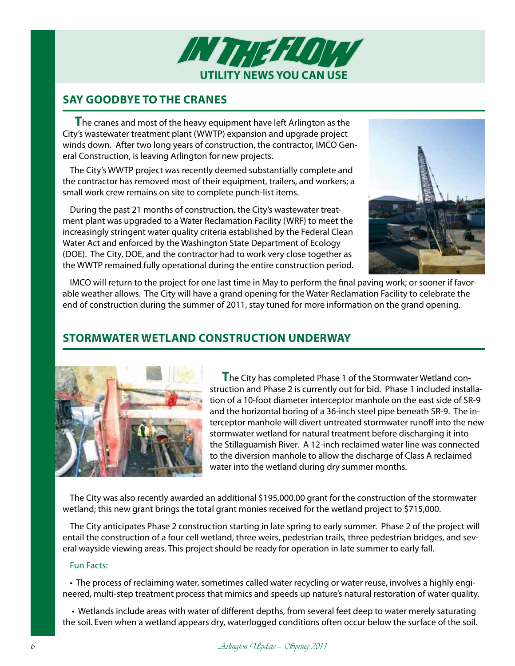

### **Say Goodbye to the Cranes**

**T**he cranes and most of the heavy equipment have left Arlington as the City's wastewater treatment plant (WWTP) expansion and upgrade project winds down. After two long years of construction, the contractor, IMCO General Construction, is leaving Arlington for new projects.

The City's WWTP project was recently deemed substantially complete and the contractor has removed most of their equipment, trailers, and workers; a small work crew remains on site to complete punch-list items.

During the past 21 months of construction, the City's wastewater treatment plant was upgraded to a Water Reclamation Facility (WRF) to meet the increasingly stringent water quality criteria established by the Federal Clean Water Act and enforced by the Washington State Department of Ecology (DOE). The City, DOE, and the contractor had to work very close together as the WWTP remained fully operational during the entire construction period.



IMCO will return to the project for one last time in May to perform the final paving work; or sooner if favorable weather allows. The City will have a grand opening for the Water Reclamation Facility to celebrate the end of construction during the summer of 2011, stay tuned for more information on the grand opening.

# **Stormwater Wetland Construction Underway**



**T**he City has completed Phase 1 of the Stormwater Wetland construction and Phase 2 is currently out for bid. Phase 1 included installation of a 10-foot diameter interceptor manhole on the east side of SR-9 and the horizontal boring of a 36-inch steel pipe beneath SR-9. The interceptor manhole will divert untreated stormwater runoff into the new stormwater wetland for natural treatment before discharging it into the Stillaguamish River. A 12-inch reclaimed water line was connected to the diversion manhole to allow the discharge of Class A reclaimed water into the wetland during dry summer months.

The City was also recently awarded an additional \$195,000.00 grant for the construction of the stormwater wetland; this new grant brings the total grant monies received for the wetland project to \$715,000.

The City anticipates Phase 2 construction starting in late spring to early summer. Phase 2 of the project will entail the construction of a four cell wetland, three weirs, pedestrian trails, three pedestrian bridges, and several wayside viewing areas. This project should be ready for operation in late summer to early fall.

### Fun Facts:

• The process of reclaiming water, sometimes called water recycling or water reuse, involves a highly engineered, multi-step treatment process that mimics and speeds up nature's natural restoration of water quality.

 • Wetlands include areas with water of different depths, from several feet deep to water merely saturating the soil. Even when a wetland appears dry, waterlogged conditions often occur below the surface of the soil.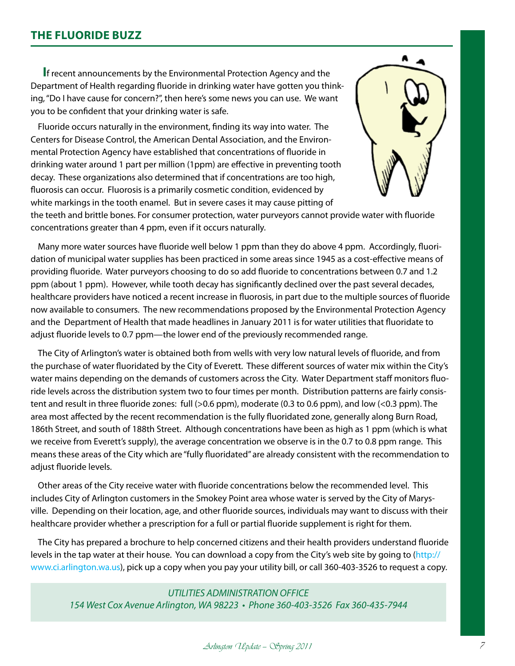### **The Fluoride Buzz**

**I**f recent announcements by the Environmental Protection Agency and the Department of Health regarding fluoride in drinking water have gotten you thinking, "Do I have cause for concern?", then here's some news you can use. We want you to be confident that your drinking water is safe.

Fluoride occurs naturally in the environment, finding its way into water. The Centers for Disease Control, the American Dental Association, and the Environmental Protection Agency have established that concentrations of fluoride in drinking water around 1 part per million (1ppm) are effective in preventing tooth decay. These organizations also determined that if concentrations are too high, fluorosis can occur. Fluorosis is a primarily cosmetic condition, evidenced by white markings in the tooth enamel. But in severe cases it may cause pitting of



the teeth and brittle bones. For consumer protection, water purveyors cannot provide water with fluoride concentrations greater than 4 ppm, even if it occurs naturally.

Many more water sources have fluoride well below 1 ppm than they do above 4 ppm. Accordingly, fluoridation of municipal water supplies has been practiced in some areas since 1945 as a cost-effective means of providing fluoride. Water purveyors choosing to do so add fluoride to concentrations between 0.7 and 1.2 ppm (about 1 ppm). However, while tooth decay has significantly declined over the past several decades, healthcare providers have noticed a recent increase in fluorosis, in part due to the multiple sources of fluoride now available to consumers. The new recommendations proposed by the Environmental Protection Agency and the Department of Health that made headlines in January 2011 is for water utilities that fluoridate to adjust fluoride levels to 0.7 ppm—the lower end of the previously recommended range.

The City of Arlington's water is obtained both from wells with very low natural levels of fluoride, and from the purchase of water fluoridated by the City of Everett. These different sources of water mix within the City's water mains depending on the demands of customers across the City. Water Department staff monitors fluoride levels across the distribution system two to four times per month. Distribution patterns are fairly consistent and result in three fluoride zones: full (>0.6 ppm), moderate (0.3 to 0.6 ppm), and low (<0.3 ppm). The area most affected by the recent recommendation is the fully fluoridated zone, generally along Burn Road, 186th Street, and south of 188th Street. Although concentrations have been as high as 1 ppm (which is what we receive from Everett's supply), the average concentration we observe is in the 0.7 to 0.8 ppm range. This means these areas of the City which are "fully fluoridated" are already consistent with the recommendation to adjust fluoride levels.

Other areas of the City receive water with fluoride concentrations below the recommended level. This includes City of Arlington customers in the Smokey Point area whose water is served by the City of Marysville. Depending on their location, age, and other fluoride sources, individuals may want to discuss with their healthcare provider whether a prescription for a full or partial fluoride supplement is right for them.

The City has prepared a brochure to help concerned citizens and their health providers understand fluoride levels in the tap water at their house. You can download a copy from the City's web site by going to (http:// www.ci.arlington.wa.us), pick up a copy when you pay your utility bill, or call 360-403-3526 to request a copy.

*UTILITIES ADMINISTRATION OFFICE 154 West Cox Avenue Arlington, WA 98223 • Phone 360-403-3526 Fax 360-435-7944* 

### Arlington Update – Sopring 2011 Arlington II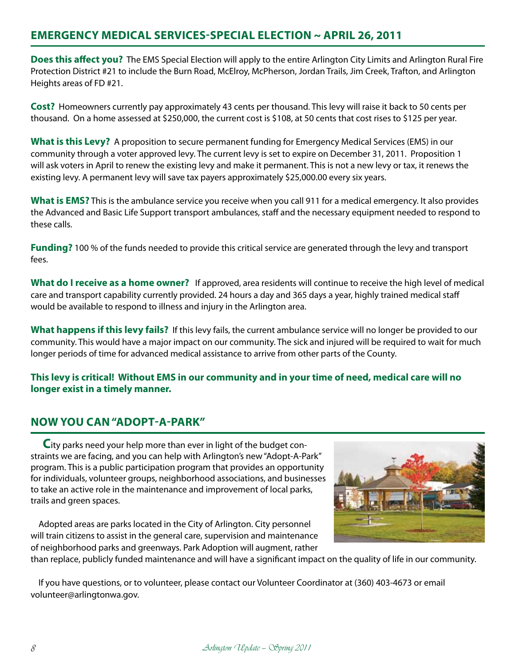### **EMERGENCY MEDICAL SERVICES-SPECIAL ELECTION ~ APRIL 26, 2011**

**Does this affect you?** The EMS Special Election will apply to the entire Arlington City Limits and Arlington Rural Fire Protection District #21 to include the Burn Road, McElroy, McPherson, Jordan Trails, Jim Creek, Trafton, and Arlington Heights areas of FD #21.

**Cost?** Homeowners currently pay approximately 43 cents per thousand. This levy will raise it back to 50 cents per thousand. On a home assessed at \$250,000, the current cost is \$108, at 50 cents that cost rises to \$125 per year.

**What is this Levy?** A proposition to secure permanent funding for Emergency Medical Services (EMS) in our community through a voter approved levy. The current levy is set to expire on December 31, 2011. Proposition 1 will ask voters in April to renew the existing levy and make it permanent. This is not a new levy or tax, it renews the existing levy. A permanent levy will save tax payers approximately \$25,000.00 every six years.

**What is EMS?** This is the ambulance service you receive when you call 911 for a medical emergency. It also provides the Advanced and Basic Life Support transport ambulances, staff and the necessary equipment needed to respond to these calls.

**Funding?** 100 % of the funds needed to provide this critical service are generated through the levy and transport fees.

**What do I receive as a home owner?** If approved, area residents will continue to receive the high level of medical care and transport capability currently provided. 24 hours a day and 365 days a year, highly trained medical staff would be available to respond to illness and injury in the Arlington area.

**What happens if this levy fails?** If this levy fails, the current ambulance service will no longer be provided to our community. This would have a major impact on our community. The sick and injured will be required to wait for much longer periods of time for advanced medical assistance to arrive from other parts of the County.

### **This levy is critical! Without EMS in our community and in your time of need, medical care will no longer exist in a timely manner.**

# **NOW YOU CAN "ADOPT-A-PARK"**

**C**ity parks need your help more than ever in light of the budget constraints we are facing, and you can help with Arlington's new "Adopt-A-Park" program. This is a public participation program that provides an opportunity for individuals, volunteer groups, neighborhood associations, and businesses to take an active role in the maintenance and improvement of local parks, trails and green spaces.

 Adopted areas are parks located in the City of Arlington. City personnel will train citizens to assist in the general care, supervision and maintenance of neighborhood parks and greenways. Park Adoption will augment, rather



than replace, publicly funded maintenance and will have a significant impact on the quality of life in our community.

 If you have questions, or to volunteer, please contact our Volunteer Coordinator at (360) 403-4673 or email volunteer@arlingtonwa.gov.

8 Arlington Update – Sopring 2011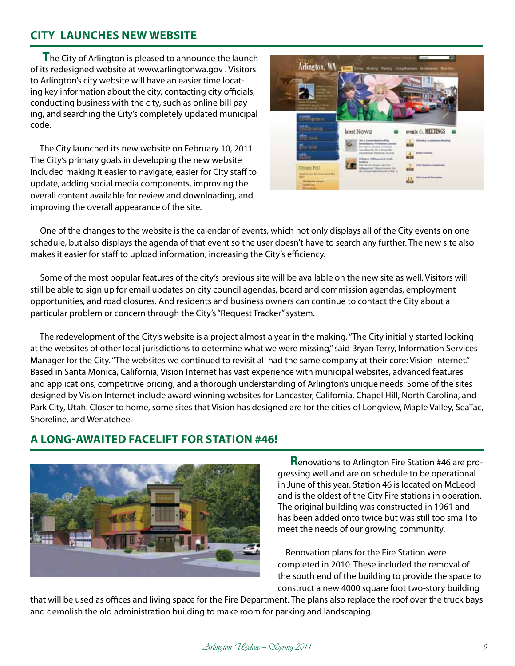### **CITY LAUNCHES NEW WEBSITE**

**T**he City of Arlington is pleased to announce the launch of its redesigned website at www.arlingtonwa.gov . Visitors to Arlington's city website will have an easier time locating key information about the city, contacting city officials, conducting business with the city, such as online bill paying, and searching the City's completely updated municipal code.

 The City launched its new website on February 10, 2011. The City's primary goals in developing the new website included making it easier to navigate, easier for City staff to update, adding social media components, improving the overall content available for review and downloading, and improving the overall appearance of the site.



 One of the changes to the website is the calendar of events, which not only displays all of the City events on one schedule, but also displays the agenda of that event so the user doesn't have to search any further. The new site also makes it easier for staff to upload information, increasing the City's efficiency.

 Some of the most popular features of the city's previous site will be available on the new site as well. Visitors will still be able to sign up for email updates on city council agendas, board and commission agendas, employment opportunities, and road closures. And residents and business owners can continue to contact the City about a particular problem or concern through the City's "Request Tracker" system.

 The redevelopment of the City's website is a project almost a year in the making. "The City initially started looking at the websites of other local jurisdictions to determine what we were missing," said Bryan Terry, Information Services Manager for the City. "The websites we continued to revisit all had the same company at their core: Vision Internet." Based in Santa Monica, California, Vision Internet has vast experience with municipal websites, advanced features and applications, competitive pricing, and a thorough understanding of Arlington's unique needs. Some of the sites designed by Vision Internet include award winning websites for Lancaster, California, Chapel Hill, North Carolina, and Park City, Utah. Closer to home, some sites that Vision has designed are for the cities of Longview, Maple Valley, SeaTac, Shoreline, and Wenatchee.

### **A LONG-AWAITED FACELIFT FOR STATION #46!**



**R**enovations to Arlington Fire Station #46 are progressing well and are on schedule to be operational in June of this year. Station 46 is located on McLeod and is the oldest of the City Fire stations in operation. The original building was constructed in 1961 and has been added onto twice but was still too small to meet the needs of our growing community.

 Renovation plans for the Fire Station were completed in 2010. These included the removal of the south end of the building to provide the space to construct a new 4000 square foot two-story building

that will be used as offices and living space for the Fire Department. The plans also replace the roof over the truck bays and demolish the old administration building to make room for parking and landscaping.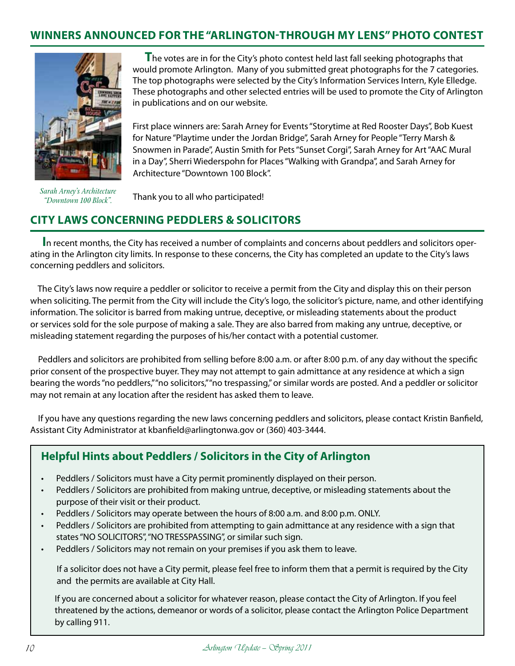### **WINNERS ANNOUNCED FOR THE "ARLINGTON-THROUGH MY LENS" PHOTO CONTEST**



*Sarah Arney's Architecture "Downtown 100 Block".*

**T**he votes are in for the City's photo contest held last fall seeking photographs that would promote Arlington. Many of you submitted great photographs for the 7 categories. The top photographs were selected by the City's Information Services Intern, Kyle Elledge. These photographs and other selected entries will be used to promote the City of Arlington in publications and on our website.

 First place winners are: Sarah Arney for Events "Storytime at Red Rooster Days", Bob Kuest for Nature "Playtime under the Jordan Bridge", Sarah Arney for People "Terry Marsh & Snowmen in Parade", Austin Smith for Pets "Sunset Corgi", Sarah Arney for Art "AAC Mural in a Day", Sherri Wiederspohn for Places "Walking with Grandpa", and Sarah Arney for Architecture "Downtown 100 Block".

Thank you to all who participated!

# **City Laws concerning Peddlers & Solicitors**

**I**n recent months, the City has received a number of complaints and concerns about peddlers and solicitors operating in the Arlington city limits. In response to these concerns, the City has completed an update to the City's laws concerning peddlers and solicitors.

 The City's laws now require a peddler or solicitor to receive a permit from the City and display this on their person when soliciting. The permit from the City will include the City's logo, the solicitor's picture, name, and other identifying information. The solicitor is barred from making untrue, deceptive, or misleading statements about the product or services sold for the sole purpose of making a sale. They are also barred from making any untrue, deceptive, or misleading statement regarding the purposes of his/her contact with a potential customer.

 Peddlers and solicitors are prohibited from selling before 8:00 a.m. or after 8:00 p.m. of any day without the specific prior consent of the prospective buyer. They may not attempt to gain admittance at any residence at which a sign bearing the words "no peddlers," "no solicitors," "no trespassing," or similar words are posted. And a peddler or solicitor may not remain at any location after the resident has asked them to leave.

 If you have any questions regarding the new laws concerning peddlers and solicitors, please contact Kristin Banfield, Assistant City Administrator at kbanfield@arlingtonwa.gov or (360) 403-3444.

# **Helpful Hints about Peddlers / Solicitors in the City of Arlington**

- Peddlers / Solicitors must have a City permit prominently displayed on their person.
- Peddlers / Solicitors are prohibited from making untrue, deceptive, or misleading statements about the purpose of their visit or their product.
- Peddlers / Solicitors may operate between the hours of 8:00 a.m. and 8:00 p.m. ONLY.
- Peddlers / Solicitors are prohibited from attempting to gain admittance at any residence with a sign that states "NO SOLICITORS", "NO TRESSPASSING", or similar such sign.
- Peddlers / Solicitors may not remain on your premises if you ask them to leave.

 If a solicitor does not have a City permit, please feel free to inform them that a permit is required by the City and the permits are available at City Hall.

 If you are concerned about a solicitor for whatever reason, please contact the City of Arlington. If you feel threatened by the actions, demeanor or words of a solicitor, please contact the Arlington Police Department by calling 911.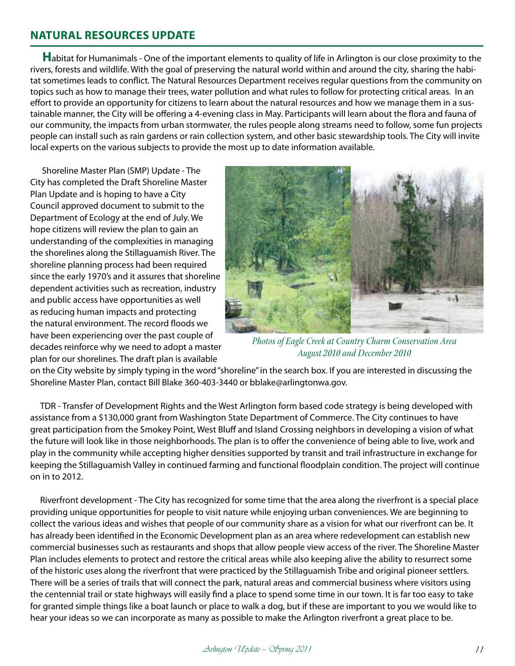### **NATURAL RESOURCES UPDATE**

**H**abitat for Humanimals - One of the important elements to quality of life in Arlington is our close proximity to the rivers, forests and wildlife. With the goal of preserving the natural world within and around the city, sharing the habitat sometimes leads to conflict. The Natural Resources Department receives regular questions from the community on topics such as how to manage their trees, water pollution and what rules to follow for protecting critical areas. In an effort to provide an opportunity for citizens to learn about the natural resources and how we manage them in a sustainable manner, the City will be offering a 4-evening class in May. Participants will learn about the flora and fauna of our community, the impacts from urban stormwater, the rules people along streams need to follow, some fun projects people can install such as rain gardens or rain collection system, and other basic stewardship tools. The City will invite local experts on the various subjects to provide the most up to date information available.

 Shoreline Master Plan (SMP) Update - The City has completed the Draft Shoreline Master Plan Update and is hoping to have a City Council approved document to submit to the Department of Ecology at the end of July. We hope citizens will review the plan to gain an understanding of the complexities in managing the shorelines along the Stillaguamish River. The shoreline planning process had been required since the early 1970's and it assures that shoreline dependent activities such as recreation, industry and public access have opportunities as well as reducing human impacts and protecting the natural environment. The record floods we have been experiencing over the past couple of decades reinforce why we need to adopt a master plan for our shorelines. The draft plan is available



*Photos of Eagle Creek at Country Charm Conservation Area August 2010 and December 2010*

on the City website by simply typing in the word "shoreline" in the search box. If you are interested in discussing the Shoreline Master Plan, contact Bill Blake 360-403-3440 or bblake@arlingtonwa.gov.

 TDR - Transfer of Development Rights and the West Arlington form based code strategy is being developed with assistance from a \$130,000 grant from Washington State Department of Commerce. The City continues to have great participation from the Smokey Point, West Bluff and Island Crossing neighbors in developing a vision of what the future will look like in those neighborhoods. The plan is to offer the convenience of being able to live, work and play in the community while accepting higher densities supported by transit and trail infrastructure in exchange for keeping the Stillaguamish Valley in continued farming and functional floodplain condition. The project will continue on in to 2012.

 Riverfront development - The City has recognized for some time that the area along the riverfront is a special place providing unique opportunities for people to visit nature while enjoying urban conveniences. We are beginning to collect the various ideas and wishes that people of our community share as a vision for what our riverfront can be. It has already been identified in the Economic Development plan as an area where redevelopment can establish new commercial businesses such as restaurants and shops that allow people view access of the river. The Shoreline Master Plan includes elements to protect and restore the critical areas while also keeping alive the ability to resurrect some of the historic uses along the riverfront that were practiced by the Stillaguamish Tribe and original pioneer settlers. There will be a series of trails that will connect the park, natural areas and commercial business where visitors using the centennial trail or state highways will easily find a place to spend some time in our town. It is far too easy to take for granted simple things like a boat launch or place to walk a dog, but if these are important to you we would like to hear your ideas so we can incorporate as many as possible to make the Arlington riverfront a great place to be.